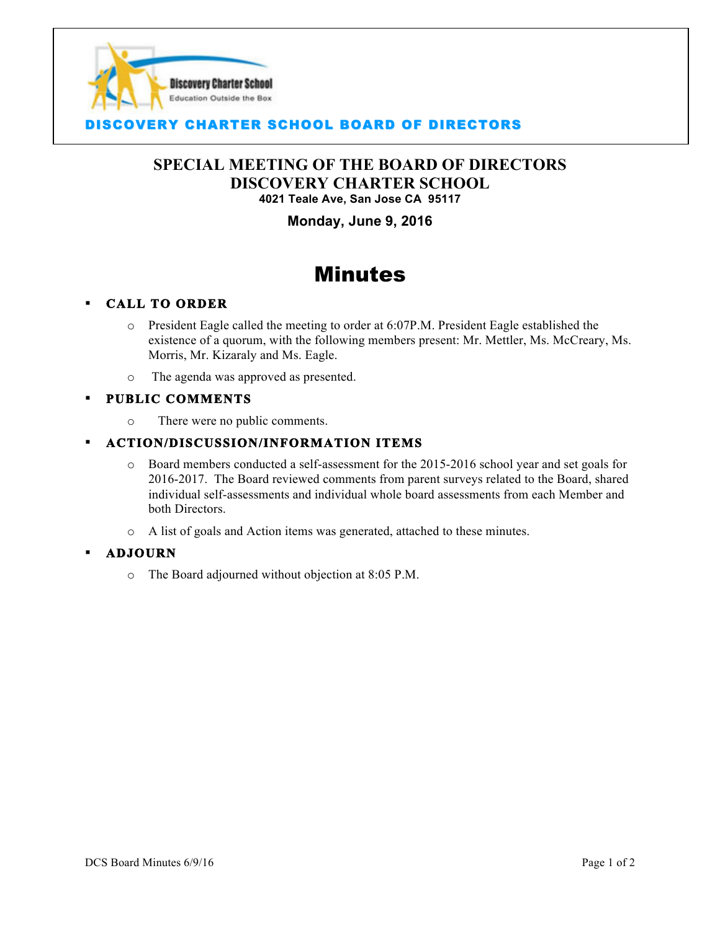

## SCOVERY CHARTER SCHOOL BOARD OF DIRECTORS

# **SPECIAL MEETING OF THE BOARD OF DIRECTORS DISCOVERY CHARTER SCHOOL 4021 Teale Ave, San Jose CA 95117**

j

## **Monday, June 9, 2016**

# **Minutes**

#### ! **CALL TO ORDER**

- $\circ$  President Eagle called the meeting to order at 6:07P.M. President Eagle established the existence of a quorum, with the following members present: Mr. Mettler, Ms. McCreary, Ms. Morris, Mr. Kizaraly and Ms. Eagle.
- o The agenda was approved as presented.

#### ! **PUBLIC COMMENTS**

o There were no public comments.

#### ! **ACTION/DISCUSSION/INFORMATION ITEMS**

- o Board members conducted a self-assessment for the 2015-2016 school year and set goals for 2016-2017. The Board reviewed comments from parent surveys related to the Board, shared individual self-assessments and individual whole board assessments from each Member and both Directors.
- o A list of goals and Action items was generated, attached to these minutes.

#### ! **ADJOURN**

o The Board adjourned without objection at 8:05 P.M.